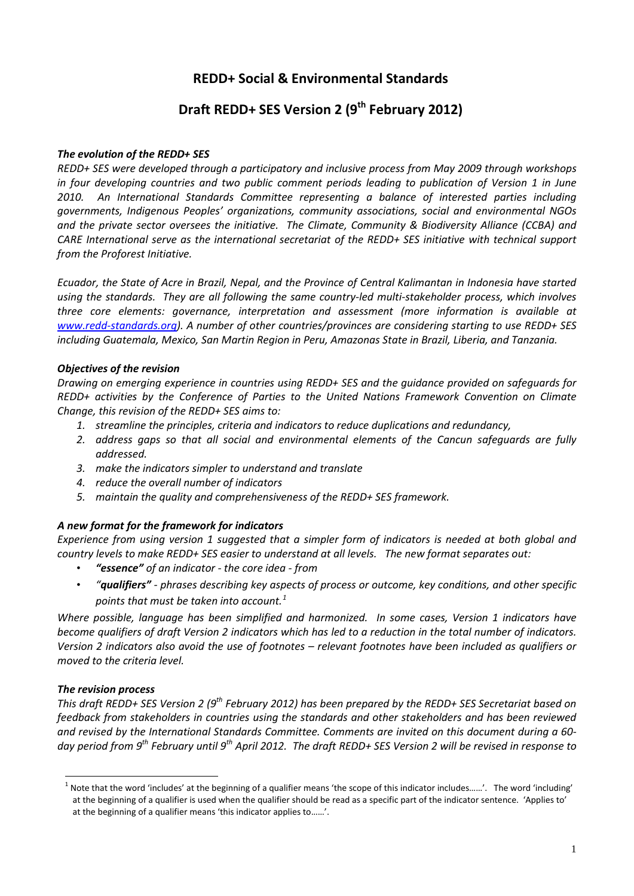## **REDD+ Social & Environmental Standards**

# **Draft REDD+ SES Version 2 (9th February 2012)**

#### *The evolution of the REDD+ SES*

*REDD+ SES were developed through a participatory and inclusive process from May 2009 through workshops in four developing countries and two public comment periods leading to publication of Version 1 in June 2010. An International Standards Committee representing a balance of interested parties including governments, Indigenous Peoples' organizations, community associations, social and environmental NGOs and the private sector oversees the initiative. The Climate, Community & Biodiversity Alliance (CCBA) and CARE International serve as the international secretariat of the REDD+ SES initiative with technical support from the Proforest Initiative.*

*Ecuador, the State of Acre in Brazil, Nepal, and the Province of Central Kalimantan in Indonesia have started using the standards. They are all following the same country-led multi-stakeholder process, which involves three core elements: governance, interpretation and assessment (more information is available at [www.redd-standards.org\)](http://www.redd-standards.org/). A number of other countries/provinces are considering starting to use REDD+ SES including Guatemala, Mexico, San Martin Region in Peru, Amazonas State in Brazil, Liberia, and Tanzania.* 

#### *Objectives of the revision*

*Drawing on emerging experience in countries using REDD+ SES and the guidance provided on safeguards for REDD+ activities by the Conference of Parties to the United Nations Framework Convention on Climate Change, this revision of the REDD+ SES aims to:*

- *1. streamline the principles, criteria and indicators to reduce duplications and redundancy,*
- *2. address gaps so that all social and environmental elements of the Cancun safeguards are fully addressed.*
- *3. make the indicators simpler to understand and translate*
- *4. reduce the overall number of indicators*
- *5. maintain the quality and comprehensiveness of the REDD+ SES framework.*

#### *A new format for the framework for indicators*

*Experience from using version 1 suggested that a simpler form of indicators is needed at both global and country levels to make REDD+ SES easier to understand at all levels. The new format separates out:*

- *"essence" of an indicator - the core idea - from*
- *"qualifiers" - phrases describing key aspects of process or outcome, key conditions, and other specific points that must be taken into account.[1](#page-0-0)*

*Where possible, language has been simplified and harmonized. In some cases, Version 1 indicators have become qualifiers of draft Version 2 indicators which has led to a reduction in the total number of indicators. Version 2 indicators also avoid the use of footnotes – relevant footnotes have been included as qualifiers or moved to the criteria level.*

#### *The revision process*

<span id="page-0-1"></span>*This draft REDD+ SES Version 2 (9th February 2012) has been prepared by the REDD+ SES Secretariat based on feedback from stakeholders in countries using the standards and other stakeholders and has been reviewed and revised by the International Standards Committee. Comments are invited on this document during a 60 day period from 9th February until 9th April 2012. The draft REDD+ SES Version 2 will be revised in response to* 

<span id="page-0-0"></span><sup>1</sup> Note that the word 'includes' at the beginning of a qualifier means 'the scope of this indicator includes……'. The word 'including' at the beginning of a qualifier is used when the qualifier should be read as a specific part of the indicator sentence. 'Applies to' at the beginning of a qualifier means 'this indicator applies to……'.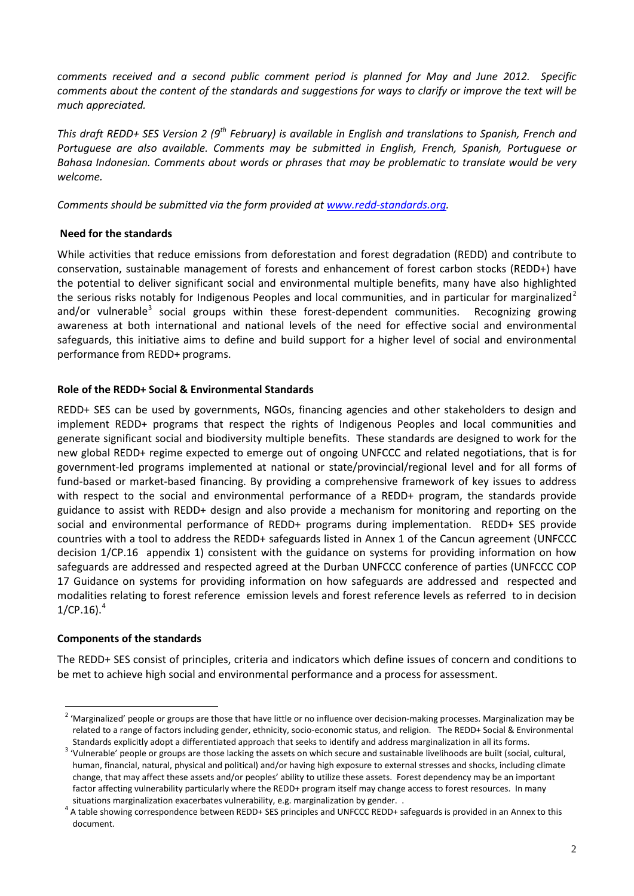*comments received and a second public comment period is planned for May and June 2012. Specific comments about the content of the standards and suggestions for ways to clarify or improve the text will be much appreciated.* 

*This draft REDD+ SES Version 2 (9th February) is available in English and translations to Spanish, French and Portuguese are also available. Comments may be submitted in English, French, Spanish, Portuguese or Bahasa Indonesian. Comments about words or phrases that may be problematic to translate would be very welcome.*

*Comments should be submitted via the form provided at [www.redd-standards.org.](http://www.redd-standards.org/)*

#### **Need for the standards**

While activities that reduce emissions from deforestation and forest degradation (REDD) and contribute to conservation, sustainable management of forests and enhancement of forest carbon stocks (REDD+) have the potential to deliver significant social and environmental multiple benefits, many have also highlighted the serious risks notably for Indigenous Peoples and local communities, and in particular for marginalized<sup>[2](#page-0-1)</sup> and/or vulnerable<sup>[3](#page-1-0)</sup> social groups within these forest-dependent communities. Recognizing growing awareness at both international and national levels of the need for effective social and environmental safeguards, this initiative aims to define and build support for a higher level of social and environmental performance from REDD+ programs.

#### **Role of the REDD+ Social & Environmental Standards**

REDD+ SES can be used by governments, NGOs, financing agencies and other stakeholders to design and implement REDD+ programs that respect the rights of Indigenous Peoples and local communities and generate significant social and biodiversity multiple benefits. These standards are designed to work for the new global REDD+ regime expected to emerge out of ongoing UNFCCC and related negotiations, that is for government-led programs implemented at national or state/provincial/regional level and for all forms of fund-based or market-based financing. By providing a comprehensive framework of key issues to address with respect to the social and environmental performance of a REDD+ program, the standards provide guidance to assist with REDD+ design and also provide a mechanism for monitoring and reporting on the social and environmental performance of REDD+ programs during implementation. REDD+ SES provide countries with a tool to address the REDD+ safeguards listed in Annex 1 of the Cancun agreement (UNFCCC decision 1/CP.16 appendix 1) consistent with the guidance on systems for providing information on how safeguards are addressed and respected agreed at the Durban UNFCCC conference of parties (UNFCCC COP 17 Guidance on systems for providing information on how safeguards are addressed and respected and modalities relating to forest reference emission levels and forest reference levels as referred to in decision  $1/CP.16$ ).<sup>[4](#page-1-1)</sup>

#### **Components of the standards**

<span id="page-1-2"></span>The REDD+ SES consist of principles, criteria and indicators which define issues of concern and conditions to be met to achieve high social and environmental performance and a process for assessment.

<sup>&</sup>lt;sup>2</sup> 'Marginalized' people or groups are those that have little or no influence over decision-making processes. Marginalization may be related to a range of factors including gender, ethnicity, socio-economic status, and religion. The REDD+ Social & Environmental

<span id="page-1-0"></span>Standards explicitly adopt a differentiated approach that seeks to identify and address marginalization in all its forms.<br>4 'Vulnerable' people or groups are those lacking the assets on which secure and sustainable livelih human, financial, natural, physical and political) and/or having high exposure to external stresses and shocks, including climate change, that may affect these assets and/or peoples' ability to utilize these assets. Forest dependency may be an important factor affecting vulnerability particularly where the REDD+ program itself may change access to forest resources. In many

<span id="page-1-1"></span>situations marginalization exacerbates vulnerability, e.g. marginalization by gender. .<br><sup>4</sup> A table showing correspondence between REDD+ SES principles and UNFCCC REDD+ safeguards is provided in an Annex to this document.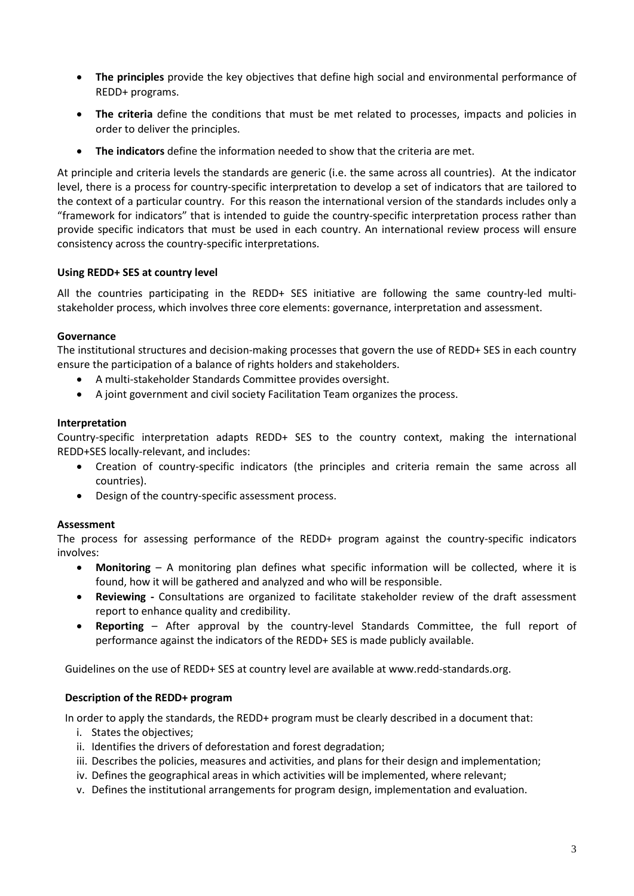- **The principles** provide the key objectives that define high social and environmental performance of REDD+ programs.
- **The criteria** define the conditions that must be met related to processes, impacts and policies in order to deliver the principles.
- **The indicators** define the information needed to show that the criteria are met.

At principle and criteria levels the standards are generic (i.e. the same across all countries). At the indicator level, there is a process for country-specific interpretation to develop a set of indicators that are tailored to the context of a particular country. For this reason the international version of the standards includes only a "framework for indicators" that is intended to guide the country-specific interpretation process rather than provide specific indicators that must be used in each country. An international review process will ensure consistency across the country-specific interpretations.

#### **Using REDD+ SES at country level**

All the countries participating in the REDD+ SES initiative are following the same country-led multistakeholder process, which involves three core elements: governance, interpretation and assessment.

#### **Governance**

The institutional structures and decision-making processes that govern the use of REDD+ SES in each country ensure the participation of a balance of rights holders and stakeholders.

- A multi-stakeholder Standards Committee provides oversight.
- A joint government and civil society Facilitation Team organizes the process.

#### **Interpretation**

Country-specific interpretation adapts REDD+ SES to the country context, making the international REDD+SES locally-relevant, and includes:

- Creation of country-specific indicators (the principles and criteria remain the same across all countries).
- Design of the country-specific assessment process.

#### **Assessment**

The process for assessing performance of the REDD+ program against the country-specific indicators involves:

- **Monitoring** A monitoring plan defines what specific information will be collected, where it is found, how it will be gathered and analyzed and who will be responsible.
- **Reviewing -** Consultations are organized to facilitate stakeholder review of the draft assessment report to enhance quality and credibility.
- **Reporting**  After approval by the country-level Standards Committee, the full report of performance against the indicators of the REDD+ SES is made publicly available.

Guidelines on the use of REDD+ SES at country level are available at www.redd-standards.org.

#### **Description of the REDD+ program**

In order to apply the standards, the REDD+ program must be clearly described in a document that:

- i. States the objectives;
- ii. Identifies the drivers of deforestation and forest degradation;
- iii. Describes the policies, measures and activities, and plans for their design and implementation;
- iv. Defines the geographical areas in which activities will be implemented, where relevant;
- v. Defines the institutional arrangements for program design, implementation and evaluation.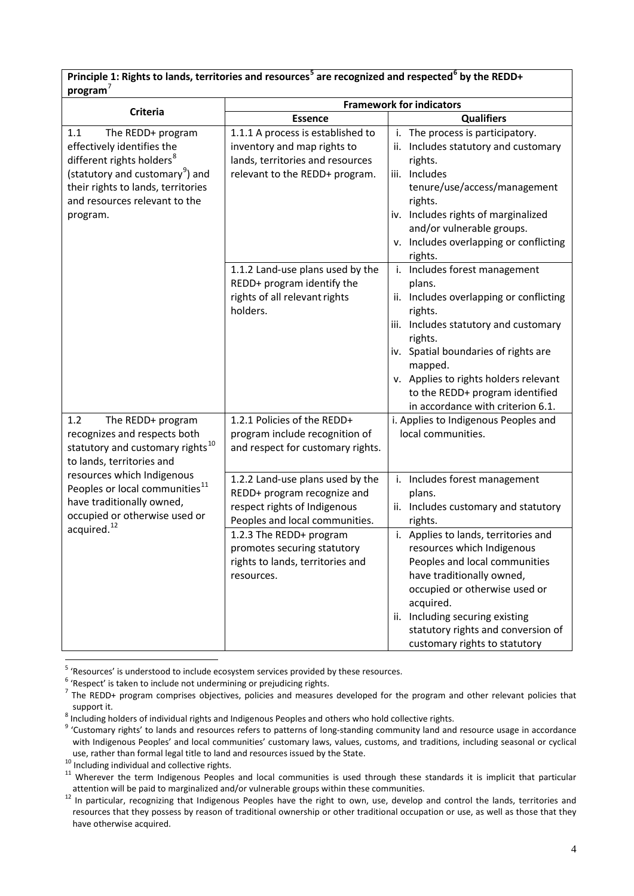| Principle 1: Rights to lands, territories and resources <sup>5</sup> are recognized and respected <sup>6</sup> by the REDD+ |  |
|-----------------------------------------------------------------------------------------------------------------------------|--|
| program'                                                                                                                    |  |

|                                                                                                                                                                                                                                   | <b>Framework for indicators</b>                                                                                                        |                                                                                                                                                                                                                                                                                                                       |  |
|-----------------------------------------------------------------------------------------------------------------------------------------------------------------------------------------------------------------------------------|----------------------------------------------------------------------------------------------------------------------------------------|-----------------------------------------------------------------------------------------------------------------------------------------------------------------------------------------------------------------------------------------------------------------------------------------------------------------------|--|
| <b>Criteria</b>                                                                                                                                                                                                                   | <b>Essence</b>                                                                                                                         | <b>Qualifiers</b>                                                                                                                                                                                                                                                                                                     |  |
| 1.1<br>The REDD+ program<br>effectively identifies the<br>different rights holders <sup>8</sup><br>(statutory and customary <sup>9</sup> ) and<br>their rights to lands, territories<br>and resources relevant to the<br>program. | 1.1.1 A process is established to<br>inventory and map rights to<br>lands, territories and resources<br>relevant to the REDD+ program. | i. The process is participatory.<br>ii. Includes statutory and customary<br>rights.<br>iii. Includes<br>tenure/use/access/management<br>rights.<br>iv. Includes rights of marginalized<br>and/or vulnerable groups.<br>v. Includes overlapping or conflicting<br>rights.                                              |  |
|                                                                                                                                                                                                                                   | 1.1.2 Land-use plans used by the<br>REDD+ program identify the<br>rights of all relevant rights<br>holders.                            | i. Includes forest management<br>plans.<br>ii. Includes overlapping or conflicting<br>rights.<br>iii. Includes statutory and customary<br>rights.<br>iv. Spatial boundaries of rights are<br>mapped.<br>v. Applies to rights holders relevant<br>to the REDD+ program identified<br>in accordance with criterion 6.1. |  |
| 1.2<br>The REDD+ program<br>recognizes and respects both<br>statutory and customary rights <sup>10</sup><br>to lands, territories and                                                                                             | 1.2.1 Policies of the REDD+<br>program include recognition of<br>and respect for customary rights.                                     | i. Applies to Indigenous Peoples and<br>local communities.                                                                                                                                                                                                                                                            |  |
| resources which Indigenous<br>Peoples or local communities <sup>11</sup><br>have traditionally owned,<br>occupied or otherwise used or                                                                                            | 1.2.2 Land-use plans used by the<br>REDD+ program recognize and<br>respect rights of Indigenous<br>Peoples and local communities.      | i. Includes forest management<br>plans.<br>ii. Includes customary and statutory<br>rights.                                                                                                                                                                                                                            |  |
| acquired. <sup>12</sup>                                                                                                                                                                                                           | 1.2.3 The REDD+ program<br>promotes securing statutory<br>rights to lands, territories and<br>resources.                               | i. Applies to lands, territories and<br>resources which Indigenous<br>Peoples and local communities<br>have traditionally owned,<br>occupied or otherwise used or<br>acquired.<br>ii. Including securing existing<br>statutory rights and conversion of<br>customary rights to statutory                              |  |

 $5$  'Resources' is understood to include ecosystem services provided by these resources.<br> $6$  'Respect' is taken to include not undermining or prejudicing rights.

<span id="page-3-1"></span><span id="page-3-0"></span> $<sup>7</sup>$  The REDD+ program comprises objectives, policies and measures developed for the program and other relevant policies that</sup>

<span id="page-3-3"></span>

<span id="page-3-2"></span>support it.<br><sup>8</sup> Including holders of individual rights and Indigenous Peoples and others who hold collective rights.<br><sup>9</sup> 'Customary rights' to lands and resources refers to patterns of long-standing community land and reso with Indigenous Peoples' and local communities' customary laws, values, customs, and traditions, including seasonal or cyclical

<span id="page-3-5"></span><span id="page-3-4"></span>

<span id="page-3-7"></span>use, rather than formal legal title to land and resources issued by the State.<br>
<sup>10</sup> Including individual and collective rights.<br>
<sup>11</sup> Wherever the term Indigenous Peoples and local communities is used through these stand

<span id="page-3-6"></span>attention will be paid to marginalized and/or vulnerable groups within these communities.<br><sup>12</sup> In particular, recognizing that Indigenous Peoples have the right to own, use, develop and control the lands, territories and resources that they possess by reason of traditional ownership or other traditional occupation or use, as well as those that they have otherwise acquired.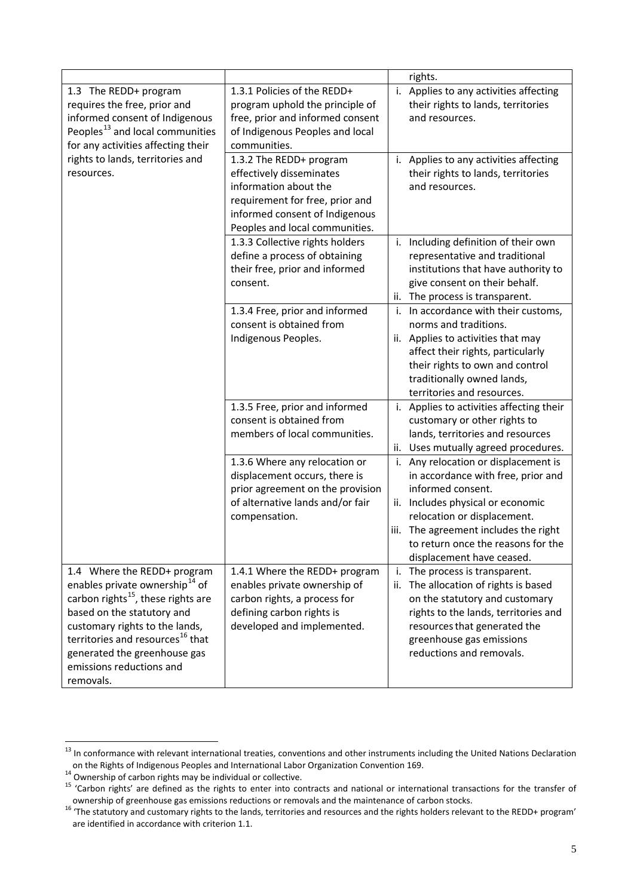|                                                                                                                                                                                                                                                                                                                      |                                                                                                                                                                                     |            | rights.                                                                                                                                                                                                                                                                 |
|----------------------------------------------------------------------------------------------------------------------------------------------------------------------------------------------------------------------------------------------------------------------------------------------------------------------|-------------------------------------------------------------------------------------------------------------------------------------------------------------------------------------|------------|-------------------------------------------------------------------------------------------------------------------------------------------------------------------------------------------------------------------------------------------------------------------------|
| 1.3 The REDD+ program<br>requires the free, prior and<br>informed consent of Indigenous<br>Peoples <sup>13</sup> and local communities<br>for any activities affecting their                                                                                                                                         | 1.3.1 Policies of the REDD+<br>program uphold the principle of<br>free, prior and informed consent<br>of Indigenous Peoples and local<br>communities.                               | i.         | Applies to any activities affecting<br>their rights to lands, territories<br>and resources.                                                                                                                                                                             |
| rights to lands, territories and<br>resources.                                                                                                                                                                                                                                                                       | 1.3.2 The REDD+ program<br>effectively disseminates<br>information about the<br>requirement for free, prior and<br>informed consent of Indigenous<br>Peoples and local communities. |            | i. Applies to any activities affecting<br>their rights to lands, territories<br>and resources.                                                                                                                                                                          |
|                                                                                                                                                                                                                                                                                                                      | 1.3.3 Collective rights holders<br>define a process of obtaining<br>their free, prior and informed<br>consent.                                                                      | ii.        | i. Including definition of their own<br>representative and traditional<br>institutions that have authority to<br>give consent on their behalf.<br>The process is transparent.                                                                                           |
|                                                                                                                                                                                                                                                                                                                      | 1.3.4 Free, prior and informed<br>consent is obtained from<br>Indigenous Peoples.                                                                                                   | i.         | In accordance with their customs,<br>norms and traditions.<br>ii. Applies to activities that may<br>affect their rights, particularly<br>their rights to own and control<br>traditionally owned lands,<br>territories and resources.                                    |
|                                                                                                                                                                                                                                                                                                                      | 1.3.5 Free, prior and informed<br>consent is obtained from<br>members of local communities.                                                                                         |            | i. Applies to activities affecting their<br>customary or other rights to<br>lands, territories and resources<br>ii. Uses mutually agreed procedures.                                                                                                                    |
|                                                                                                                                                                                                                                                                                                                      | 1.3.6 Where any relocation or<br>displacement occurs, there is<br>prior agreement on the provision<br>of alternative lands and/or fair<br>compensation.                             | i.<br>iii. | Any relocation or displacement is<br>in accordance with free, prior and<br>informed consent.<br>ii. Includes physical or economic<br>relocation or displacement.<br>The agreement includes the right<br>to return once the reasons for the<br>displacement have ceased. |
| 1.4 Where the REDD+ program<br>enables private ownership <sup>14</sup> of<br>carbon rights <sup>15</sup> , these rights are<br>based on the statutory and<br>customary rights to the lands,<br>territories and resources <sup>16</sup> that<br>generated the greenhouse gas<br>emissions reductions and<br>removals. | 1.4.1 Where the REDD+ program<br>enables private ownership of<br>carbon rights, a process for<br>defining carbon rights is<br>developed and implemented.                            | i.<br>ii.  | The process is transparent.<br>The allocation of rights is based<br>on the statutory and customary<br>rights to the lands, territories and<br>resources that generated the<br>greenhouse gas emissions<br>reductions and removals.                                      |

<span id="page-4-3"></span> $13$  In conformance with relevant international treaties, conventions and other instruments including the United Nations Declaration

<span id="page-4-1"></span><span id="page-4-0"></span>

on the Rights of Indigenous Peoples and International Labor Organization Convention 169.<br><sup>14</sup> Ownership of carbon rights may be individual or collective.<br><sup>15</sup> 'Carbon rights' are defined as the rights to enter into contrac

<span id="page-4-2"></span><sup>&</sup>lt;sup>16</sup> The statutory and customary rights to the lands, territories and resources and the rights holders relevant to the REDD+ program' are identified in accordance with criterion 1.1.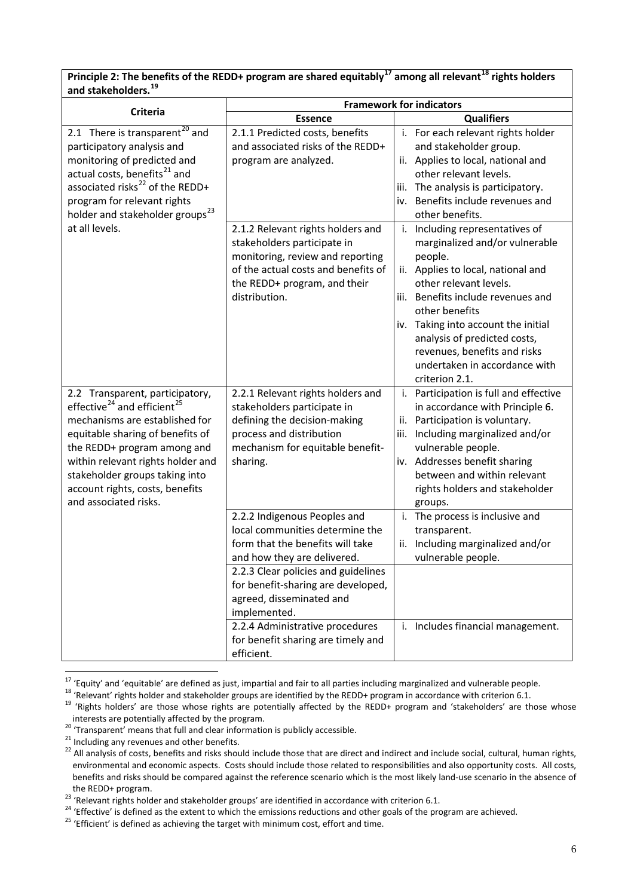#### **Principle 2: The benefits of the REDD+ program are shared equitably[17](#page-4-3) among all relevant[18](#page-5-0) rights holders and stakeholders.[19](#page-5-1)**

| וואוטווטוואנו                                                                                                                                                                                                                                                                                                                  | <b>Framework for indicators</b>                                                                                                                                                                                                             |                                                                                                                                                                                                                                                                                                                                                                   |  |
|--------------------------------------------------------------------------------------------------------------------------------------------------------------------------------------------------------------------------------------------------------------------------------------------------------------------------------|---------------------------------------------------------------------------------------------------------------------------------------------------------------------------------------------------------------------------------------------|-------------------------------------------------------------------------------------------------------------------------------------------------------------------------------------------------------------------------------------------------------------------------------------------------------------------------------------------------------------------|--|
| <b>Criteria</b>                                                                                                                                                                                                                                                                                                                | <b>Essence</b>                                                                                                                                                                                                                              | <b>Qualifiers</b>                                                                                                                                                                                                                                                                                                                                                 |  |
| 2.1 There is transparent <sup>20</sup> and<br>participatory analysis and<br>monitoring of predicted and<br>actual costs, benefits <sup>21</sup> and<br>associated risks <sup>22</sup> of the REDD+<br>program for relevant rights<br>holder and stakeholder groups <sup>23</sup>                                               | 2.1.1 Predicted costs, benefits<br>and associated risks of the REDD+<br>program are analyzed.                                                                                                                                               | i. For each relevant rights holder<br>and stakeholder group.<br>ii. Applies to local, national and<br>other relevant levels.<br>iii. The analysis is participatory.<br>iv. Benefits include revenues and<br>other benefits.                                                                                                                                       |  |
| at all levels.                                                                                                                                                                                                                                                                                                                 | 2.1.2 Relevant rights holders and<br>stakeholders participate in<br>monitoring, review and reporting<br>of the actual costs and benefits of<br>the REDD+ program, and their<br>distribution.                                                | Including representatives of<br>i.<br>marginalized and/or vulnerable<br>people.<br>ii. Applies to local, national and<br>other relevant levels.<br>iii. Benefits include revenues and<br>other benefits<br>iv. Taking into account the initial<br>analysis of predicted costs,<br>revenues, benefits and risks<br>undertaken in accordance with<br>criterion 2.1. |  |
| 2.2 Transparent, participatory,<br>effective <sup>24</sup> and efficient <sup>25</sup><br>mechanisms are established for<br>equitable sharing of benefits of<br>the REDD+ program among and<br>within relevant rights holder and<br>stakeholder groups taking into<br>account rights, costs, benefits<br>and associated risks. | 2.2.1 Relevant rights holders and<br>stakeholders participate in<br>defining the decision-making<br>process and distribution<br>mechanism for equitable benefit-<br>sharing.                                                                | i. Participation is full and effective<br>in accordance with Principle 6.<br>ii. Participation is voluntary.<br>Including marginalized and/or<br>iii.<br>vulnerable people.<br>iv. Addresses benefit sharing<br>between and within relevant<br>rights holders and stakeholder<br>groups.                                                                          |  |
|                                                                                                                                                                                                                                                                                                                                | 2.2.2 Indigenous Peoples and<br>local communities determine the<br>form that the benefits will take<br>and how they are delivered.<br>2.2.3 Clear policies and guidelines<br>for benefit-sharing are developed,<br>agreed, disseminated and | i. The process is inclusive and<br>transparent.<br>Including marginalized and/or<br>ii.<br>vulnerable people.                                                                                                                                                                                                                                                     |  |
|                                                                                                                                                                                                                                                                                                                                | implemented.<br>2.2.4 Administrative procedures<br>for benefit sharing are timely and<br>efficient.                                                                                                                                         | i. Includes financial management.                                                                                                                                                                                                                                                                                                                                 |  |

<span id="page-5-0"></span><sup>&</sup>lt;sup>17</sup> 'Equity' and 'equitable' are defined as just, impartial and fair to all parties including marginalized and vulnerable people.<br><sup>18</sup> 'Relevant' rights holder and stakeholder groups are identified by the REDD+ program i

<span id="page-5-4"></span>

<span id="page-5-3"></span><span id="page-5-2"></span><span id="page-5-1"></span>Interests are potentially arrected by the program.<br>
<sup>20</sup> 'Transparent' means that full and clear information is publicly accessible.<br>
<sup>21</sup> Including any revenues and other benefits.<br>
<sup>22</sup> All analysis of costs, benefits an environmental and economic aspects. Costs should include those related to responsibilities and also opportunity costs. All costs, benefits and risks should be compared against the reference scenario which is the most likely land-use scenario in the absence of the REDD+ program.<br><sup>23</sup> 'Relevant rights holder and stakeholder groups' are identified in accordance with criterion 6.1.<br><sup>24</sup> 'Effective' is defined as the extent to which the emissions reductions and other goals of the p

<span id="page-5-5"></span>

<span id="page-5-7"></span><span id="page-5-6"></span>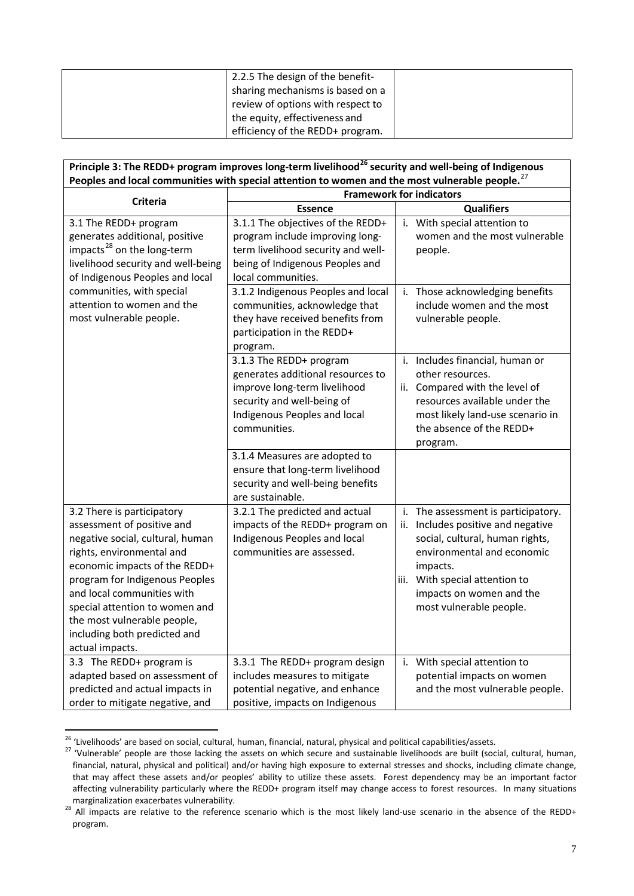| 2.2.5 The design of the benefit-  |  |
|-----------------------------------|--|
| sharing mechanisms is based on a  |  |
| review of options with respect to |  |
| the equity, effectiveness and     |  |
| efficiency of the REDD+ program.  |  |

| Principle 3: The REDD+ program improves long-term livelihood <sup>26</sup> security and well-being of Indigenous |                                    |                                       |  |
|------------------------------------------------------------------------------------------------------------------|------------------------------------|---------------------------------------|--|
| Peoples and local communities with special attention to women and the most vulnerable people. <sup>27</sup>      |                                    |                                       |  |
| <b>Criteria</b>                                                                                                  | <b>Framework for indicators</b>    |                                       |  |
|                                                                                                                  | <b>Essence</b>                     | <b>Qualifiers</b>                     |  |
| 3.1 The REDD+ program                                                                                            | 3.1.1 The objectives of the REDD+  | i. With special attention to          |  |
| generates additional, positive                                                                                   | program include improving long-    | women and the most vulnerable         |  |
| impacts <sup>28</sup> on the long-term                                                                           | term livelihood security and well- | people.                               |  |
| livelihood security and well-being                                                                               | being of Indigenous Peoples and    |                                       |  |
| of Indigenous Peoples and local                                                                                  | local communities.                 |                                       |  |
| communities, with special                                                                                        | 3.1.2 Indigenous Peoples and local | Those acknowledging benefits<br>i.    |  |
| attention to women and the                                                                                       | communities, acknowledge that      | include women and the most            |  |
| most vulnerable people.                                                                                          | they have received benefits from   | vulnerable people.                    |  |
|                                                                                                                  | participation in the REDD+         |                                       |  |
|                                                                                                                  | program.                           |                                       |  |
|                                                                                                                  | 3.1.3 The REDD+ program            | i. Includes financial, human or       |  |
|                                                                                                                  | generates additional resources to  | other resources.                      |  |
|                                                                                                                  | improve long-term livelihood       | ii. Compared with the level of        |  |
|                                                                                                                  | security and well-being of         | resources available under the         |  |
|                                                                                                                  | Indigenous Peoples and local       | most likely land-use scenario in      |  |
|                                                                                                                  | communities.                       | the absence of the REDD+              |  |
|                                                                                                                  |                                    | program.                              |  |
|                                                                                                                  | 3.1.4 Measures are adopted to      |                                       |  |
|                                                                                                                  | ensure that long-term livelihood   |                                       |  |
|                                                                                                                  | security and well-being benefits   |                                       |  |
|                                                                                                                  | are sustainable.                   |                                       |  |
| 3.2 There is participatory                                                                                       | 3.2.1 The predicted and actual     | i. The assessment is participatory.   |  |
| assessment of positive and                                                                                       | impacts of the REDD+ program on    | Includes positive and negative<br>ii. |  |
| negative social, cultural, human                                                                                 | Indigenous Peoples and local       | social, cultural, human rights,       |  |
| rights, environmental and                                                                                        | communities are assessed.          | environmental and economic            |  |
| economic impacts of the REDD+                                                                                    |                                    | impacts.                              |  |
| program for Indigenous Peoples                                                                                   |                                    | iii. With special attention to        |  |
| and local communities with                                                                                       |                                    | impacts on women and the              |  |
| special attention to women and                                                                                   |                                    | most vulnerable people.               |  |
| the most vulnerable people,                                                                                      |                                    |                                       |  |
| including both predicted and                                                                                     |                                    |                                       |  |
| actual impacts.                                                                                                  |                                    |                                       |  |
| 3.3 The REDD+ program is                                                                                         | 3.3.1 The REDD+ program design     | i. With special attention to          |  |
| adapted based on assessment of                                                                                   | includes measures to mitigate      | potential impacts on women            |  |
| predicted and actual impacts in                                                                                  | potential negative, and enhance    | and the most vulnerable people.       |  |
| order to mitigate negative, and                                                                                  | positive, impacts on Indigenous    |                                       |  |

<span id="page-6-2"></span>

<span id="page-6-0"></span><sup>&</sup>lt;sup>26</sup> 'Livelihoods' are based on social, cultural, human, financial, natural, physical and political capabilities/assets.<br><sup>27</sup> 'Vulnerable' people are those lacking the assets on which secure and sustainable livelihoods ar financial, natural, physical and political) and/or having high exposure to external stresses and shocks, including climate change, that may affect these assets and/or peoples' ability to utilize these assets. Forest dependency may be an important factor affecting vulnerability particularly where the REDD+ program itself may change access to forest resources. In many situations marginalization exacerbates vulnerability.<br><sup>28</sup> All impacts are relative to the reference scenario which is the most likely land-use scenario in the absence of the REDD+

<span id="page-6-1"></span>program.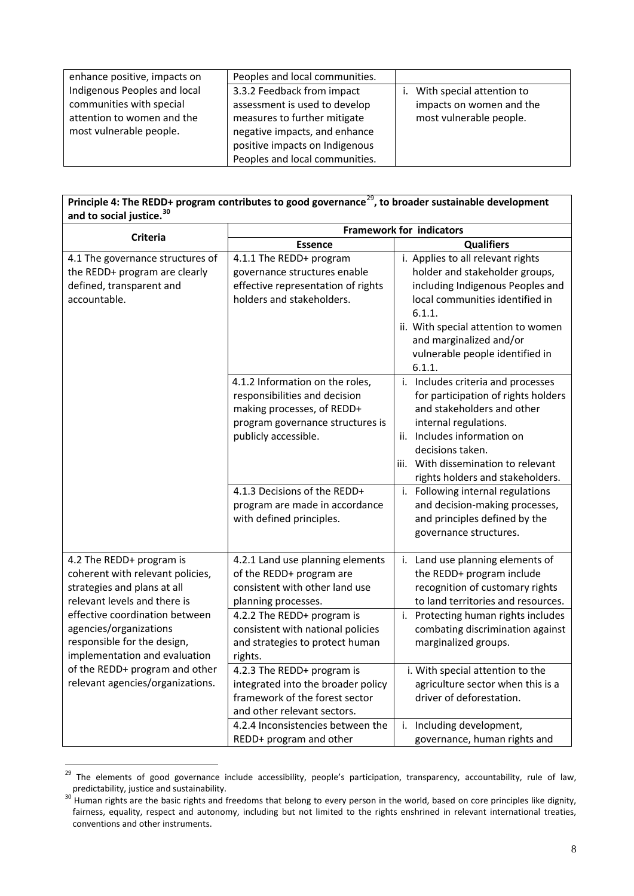| enhance positive, impacts on | Peoples and local communities. |                           |
|------------------------------|--------------------------------|---------------------------|
| Indigenous Peoples and local | 3.3.2 Feedback from impact     | With special attention to |
| communities with special     | assessment is used to develop  | impacts on women and the  |
| attention to women and the   | measures to further mitigate   | most vulnerable people.   |
| most vulnerable people.      | negative impacts, and enhance  |                           |
|                              | positive impacts on Indigenous |                           |
|                              | Peoples and local communities. |                           |

#### **Principle 4: The REDD+ program contributes to good governance**[29](#page-6-2)**, to broader sustainable development and to social justice.[30](#page-7-0)**

|                                                                                                                             | <b>Framework for indicators</b>                                                                                                                                                            |                                                                                                                                                                                                                                                                                                     |  |
|-----------------------------------------------------------------------------------------------------------------------------|--------------------------------------------------------------------------------------------------------------------------------------------------------------------------------------------|-----------------------------------------------------------------------------------------------------------------------------------------------------------------------------------------------------------------------------------------------------------------------------------------------------|--|
| <b>Criteria</b>                                                                                                             | <b>Essence</b>                                                                                                                                                                             | <b>Qualifiers</b>                                                                                                                                                                                                                                                                                   |  |
| 4.1 The governance structures of<br>the REDD+ program are clearly<br>defined, transparent and<br>accountable.               | 4.1.1 The REDD+ program<br>governance structures enable<br>effective representation of rights<br>holders and stakeholders.                                                                 | i. Applies to all relevant rights<br>holder and stakeholder groups,<br>including Indigenous Peoples and<br>local communities identified in<br>6.1.1.<br>ii. With special attention to women<br>and marginalized and/or<br>vulnerable people identified in<br>6.1.1.                                 |  |
|                                                                                                                             | 4.1.2 Information on the roles,<br>responsibilities and decision<br>making processes, of REDD+<br>program governance structures is<br>publicly accessible.<br>4.1.3 Decisions of the REDD+ | i. Includes criteria and processes<br>for participation of rights holders<br>and stakeholders and other<br>internal regulations.<br>ii. Includes information on<br>decisions taken.<br>iii. With dissemination to relevant<br>rights holders and stakeholders.<br>i. Following internal regulations |  |
|                                                                                                                             | program are made in accordance<br>with defined principles.                                                                                                                                 | and decision-making processes,<br>and principles defined by the<br>governance structures.                                                                                                                                                                                                           |  |
| 4.2 The REDD+ program is<br>coherent with relevant policies,<br>strategies and plans at all<br>relevant levels and there is | 4.2.1 Land use planning elements<br>of the REDD+ program are<br>consistent with other land use<br>planning processes.                                                                      | i. Land use planning elements of<br>the REDD+ program include<br>recognition of customary rights<br>to land territories and resources.                                                                                                                                                              |  |
| effective coordination between<br>agencies/organizations<br>responsible for the design,<br>implementation and evaluation    | 4.2.2 The REDD+ program is<br>consistent with national policies<br>and strategies to protect human<br>rights.                                                                              | i. Protecting human rights includes<br>combating discrimination against<br>marginalized groups.                                                                                                                                                                                                     |  |
| of the REDD+ program and other<br>relevant agencies/organizations.                                                          | 4.2.3 The REDD+ program is<br>integrated into the broader policy<br>framework of the forest sector<br>and other relevant sectors.                                                          | i. With special attention to the<br>agriculture sector when this is a<br>driver of deforestation.                                                                                                                                                                                                   |  |
|                                                                                                                             | 4.2.4 Inconsistencies between the<br>REDD+ program and other                                                                                                                               | Including development,<br>i.<br>governance, human rights and                                                                                                                                                                                                                                        |  |

<sup>&</sup>lt;sup>29</sup> The elements of good governance include accessibility, people's participation, transparency, accountability, rule of law, predictability, justice and sustainability.<br><sup>30</sup> Human rights are the basic rights and freedoms that belong to every person in the world, based on core principles like dignity,

<span id="page-7-1"></span><span id="page-7-0"></span>fairness, equality, respect and autonomy, including but not limited to the rights enshrined in relevant international treaties, conventions and other instruments.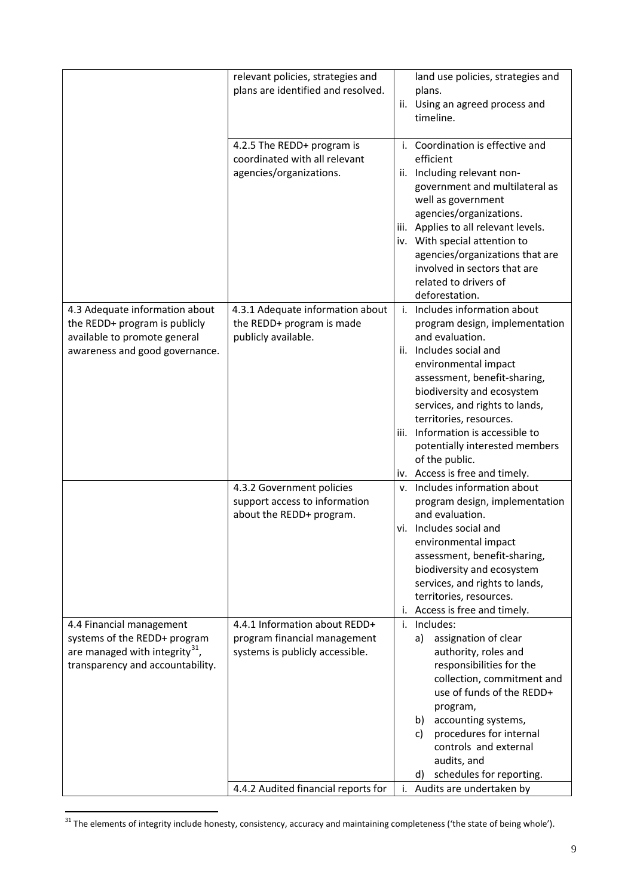|                                                                                                                                      | relevant policies, strategies and<br>plans are identified and resolved.                          | land use policies, strategies and<br>plans.<br>ii. Using an agreed process and<br>timeline.                                                                                                                                                                                                                                                                                                    |
|--------------------------------------------------------------------------------------------------------------------------------------|--------------------------------------------------------------------------------------------------|------------------------------------------------------------------------------------------------------------------------------------------------------------------------------------------------------------------------------------------------------------------------------------------------------------------------------------------------------------------------------------------------|
|                                                                                                                                      | 4.2.5 The REDD+ program is<br>coordinated with all relevant<br>agencies/organizations.           | i. Coordination is effective and<br>efficient<br>ii. Including relevant non-<br>government and multilateral as<br>well as government<br>agencies/organizations.<br>Applies to all relevant levels.<br>iii.<br>iv. With special attention to<br>agencies/organizations that are<br>involved in sectors that are<br>related to drivers of<br>deforestation.                                      |
| 4.3 Adequate information about<br>the REDD+ program is publicly<br>available to promote general<br>awareness and good governance.    | 4.3.1 Adequate information about<br>the REDD+ program is made<br>publicly available.             | i. Includes information about<br>program design, implementation<br>and evaluation.<br>ii. Includes social and<br>environmental impact<br>assessment, benefit-sharing,<br>biodiversity and ecosystem<br>services, and rights to lands,<br>territories, resources.<br>Information is accessible to<br>iii.<br>potentially interested members<br>of the public.<br>iv. Access is free and timely. |
|                                                                                                                                      | 4.3.2 Government policies<br>support access to information<br>about the REDD+ program.           | v. Includes information about<br>program design, implementation<br>and evaluation.<br>vi. Includes social and<br>environmental impact<br>assessment, benefit-sharing,<br>biodiversity and ecosystem<br>services, and rights to lands,<br>territories, resources.<br>Access is free and timely.<br>i.                                                                                           |
| 4.4 Financial management<br>systems of the REDD+ program<br>are managed with integrity $^{31}$ ,<br>transparency and accountability. | 4.4.1 Information about REDD+<br>program financial management<br>systems is publicly accessible. | Includes:<br>i.<br>assignation of clear<br>a)<br>authority, roles and<br>responsibilities for the<br>collection, commitment and<br>use of funds of the REDD+<br>program,<br>accounting systems,<br>b)<br>procedures for internal<br>c)<br>controls and external<br>audits, and<br>schedules for reporting.<br>d)                                                                               |
|                                                                                                                                      | 4.4.2 Audited financial reports for                                                              | Audits are undertaken by<br>i.                                                                                                                                                                                                                                                                                                                                                                 |

<span id="page-8-0"></span><sup>&</sup>lt;sup>31</sup> The elements of integrity include honesty, consistency, accuracy and maintaining completeness ('the state of being whole').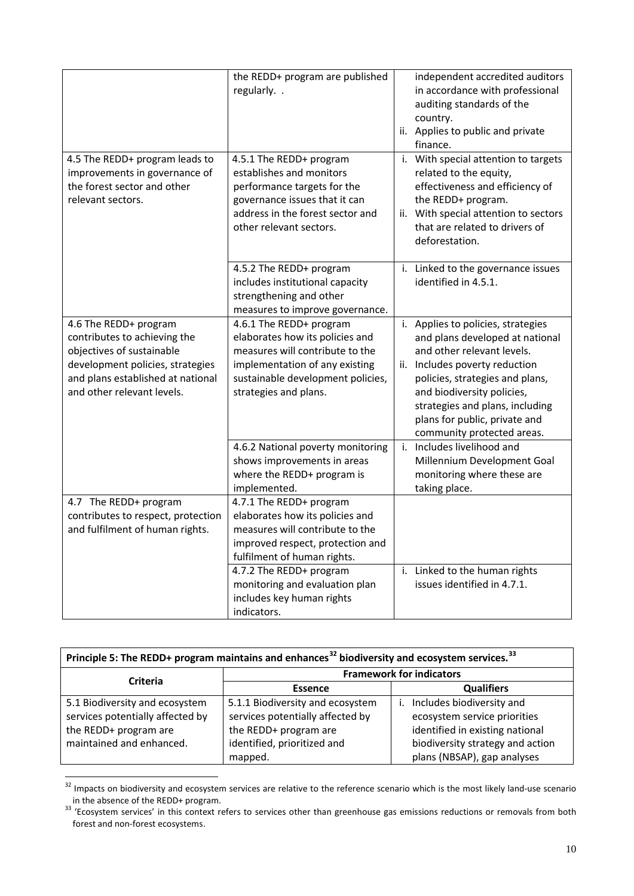| 4.5 The REDD+ program leads to<br>improvements in governance of<br>the forest sector and other<br>relevant sectors.                                                                       | the REDD+ program are published<br>regularly. .<br>4.5.1 The REDD+ program<br>establishes and monitors<br>performance targets for the<br>governance issues that it can<br>address in the forest sector and<br>other relevant sectors. |    | independent accredited auditors<br>in accordance with professional<br>auditing standards of the<br>country.<br>ii. Applies to public and private<br>finance.<br>i. With special attention to targets<br>related to the equity,<br>effectiveness and efficiency of<br>the REDD+ program.<br>ii. With special attention to sectors<br>that are related to drivers of |
|-------------------------------------------------------------------------------------------------------------------------------------------------------------------------------------------|---------------------------------------------------------------------------------------------------------------------------------------------------------------------------------------------------------------------------------------|----|--------------------------------------------------------------------------------------------------------------------------------------------------------------------------------------------------------------------------------------------------------------------------------------------------------------------------------------------------------------------|
|                                                                                                                                                                                           | 4.5.2 The REDD+ program<br>includes institutional capacity<br>strengthening and other                                                                                                                                                 |    | deforestation.<br>i. Linked to the governance issues<br>identified in 4.5.1.                                                                                                                                                                                                                                                                                       |
| 4.6 The REDD+ program<br>contributes to achieving the<br>objectives of sustainable<br>development policies, strategies<br>and plans established at national<br>and other relevant levels. | measures to improve governance.<br>4.6.1 The REDD+ program<br>elaborates how its policies and<br>measures will contribute to the<br>implementation of any existing<br>sustainable development policies,<br>strategies and plans.      |    | i. Applies to policies, strategies<br>and plans developed at national<br>and other relevant levels.<br>ii. Includes poverty reduction<br>policies, strategies and plans,<br>and biodiversity policies,<br>strategies and plans, including<br>plans for public, private and<br>community protected areas.                                                           |
|                                                                                                                                                                                           | 4.6.2 National poverty monitoring<br>shows improvements in areas<br>where the REDD+ program is<br>implemented.                                                                                                                        | i. | Includes livelihood and<br>Millennium Development Goal<br>monitoring where these are<br>taking place.                                                                                                                                                                                                                                                              |
| 4.7 The REDD+ program<br>contributes to respect, protection<br>and fulfilment of human rights.                                                                                            | 4.7.1 The REDD+ program<br>elaborates how its policies and<br>measures will contribute to the<br>improved respect, protection and<br>fulfilment of human rights.                                                                      |    |                                                                                                                                                                                                                                                                                                                                                                    |
|                                                                                                                                                                                           | 4.7.2 The REDD+ program<br>monitoring and evaluation plan<br>includes key human rights<br>indicators.                                                                                                                                 |    | i. Linked to the human rights<br>issues identified in 4.7.1.                                                                                                                                                                                                                                                                                                       |

| Principle 5: The REDD+ program maintains and enhances <sup>32</sup> biodiversity and ecosystem services. <sup>33</sup> |                                     |                                  |  |
|------------------------------------------------------------------------------------------------------------------------|-------------------------------------|----------------------------------|--|
| Criteria                                                                                                               | <b>Framework for indicators</b>     |                                  |  |
|                                                                                                                        | <b>Qualifiers</b><br><b>Essence</b> |                                  |  |
| 5.1 Biodiversity and ecosystem                                                                                         | 5.1.1 Biodiversity and ecosystem    | Includes biodiversity and        |  |
| services potentially affected by                                                                                       | services potentially affected by    | ecosystem service priorities     |  |
| the REDD+ program are                                                                                                  | the REDD+ program are               | identified in existing national  |  |
| maintained and enhanced.                                                                                               | identified, prioritized and         | biodiversity strategy and action |  |
|                                                                                                                        | mapped.                             | plans (NBSAP), gap analyses      |  |

<span id="page-9-1"></span> $\frac{32}{100}$  Impacts on biodiversity and ecosystem services are relative to the reference scenario which is the most likely land-use scenario in the absence of the REDD+ program.<br><sup>33</sup> 'Ecosystem services' in this context refers to services other than greenhouse gas emissions reductions or removals from both

<span id="page-9-0"></span>forest and non-forest ecosystems.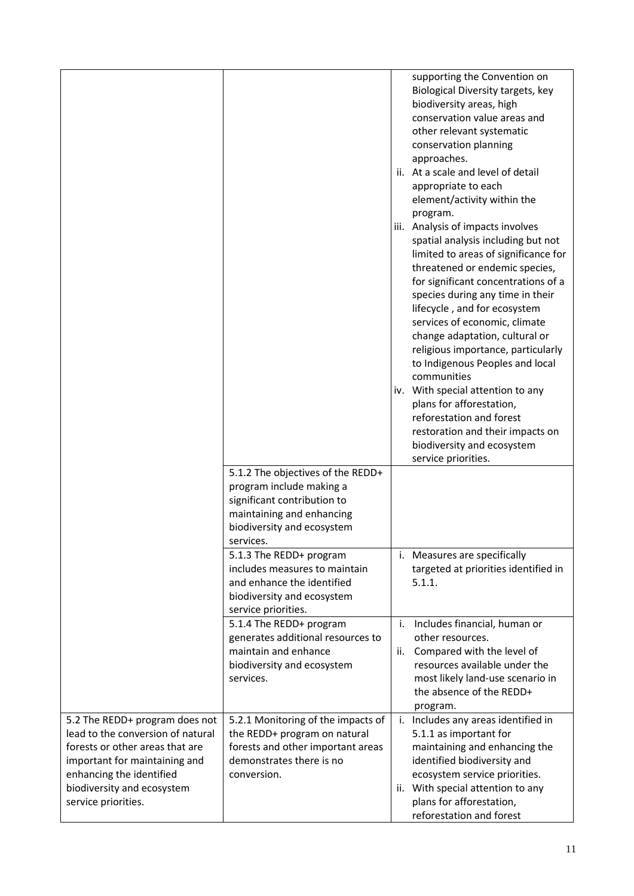|                                                                                                                                                                                                                          |                                                                                                                                                                      |           | supporting the Convention on<br>Biological Diversity targets, key<br>biodiversity areas, high<br>conservation value areas and<br>other relevant systematic<br>conservation planning<br>approaches.<br>ii. At a scale and level of detail<br>appropriate to each<br>element/activity within the<br>program.<br>iii. Analysis of impacts involves<br>spatial analysis including but not<br>limited to areas of significance for<br>threatened or endemic species,<br>for significant concentrations of a<br>species during any time in their<br>lifecycle, and for ecosystem<br>services of economic, climate<br>change adaptation, cultural or<br>religious importance, particularly<br>to Indigenous Peoples and local<br>communities<br>iv. With special attention to any<br>plans for afforestation,<br>reforestation and forest<br>restoration and their impacts on<br>biodiversity and ecosystem<br>service priorities. |
|--------------------------------------------------------------------------------------------------------------------------------------------------------------------------------------------------------------------------|----------------------------------------------------------------------------------------------------------------------------------------------------------------------|-----------|-----------------------------------------------------------------------------------------------------------------------------------------------------------------------------------------------------------------------------------------------------------------------------------------------------------------------------------------------------------------------------------------------------------------------------------------------------------------------------------------------------------------------------------------------------------------------------------------------------------------------------------------------------------------------------------------------------------------------------------------------------------------------------------------------------------------------------------------------------------------------------------------------------------------------------|
|                                                                                                                                                                                                                          | 5.1.2 The objectives of the REDD+<br>program include making a<br>significant contribution to<br>maintaining and enhancing<br>biodiversity and ecosystem<br>services. |           |                                                                                                                                                                                                                                                                                                                                                                                                                                                                                                                                                                                                                                                                                                                                                                                                                                                                                                                             |
|                                                                                                                                                                                                                          | 5.1.3 The REDD+ program<br>includes measures to maintain<br>and enhance the identified<br>biodiversity and ecosystem<br>service priorities.                          |           | i. Measures are specifically<br>targeted at priorities identified in<br>5.1.1.                                                                                                                                                                                                                                                                                                                                                                                                                                                                                                                                                                                                                                                                                                                                                                                                                                              |
|                                                                                                                                                                                                                          | 5.1.4 The REDD+ program<br>generates additional resources to<br>maintain and enhance<br>biodiversity and ecosystem<br>services.                                      | i.<br>ii. | Includes financial, human or<br>other resources.<br>Compared with the level of<br>resources available under the<br>most likely land-use scenario in<br>the absence of the REDD+<br>program.                                                                                                                                                                                                                                                                                                                                                                                                                                                                                                                                                                                                                                                                                                                                 |
| 5.2 The REDD+ program does not<br>lead to the conversion of natural<br>forests or other areas that are<br>important for maintaining and<br>enhancing the identified<br>biodiversity and ecosystem<br>service priorities. | 5.2.1 Monitoring of the impacts of<br>the REDD+ program on natural<br>forests and other important areas<br>demonstrates there is no<br>conversion.                   |           | i. Includes any areas identified in<br>5.1.1 as important for<br>maintaining and enhancing the<br>identified biodiversity and<br>ecosystem service priorities.<br>ii. With special attention to any<br>plans for afforestation,<br>reforestation and forest                                                                                                                                                                                                                                                                                                                                                                                                                                                                                                                                                                                                                                                                 |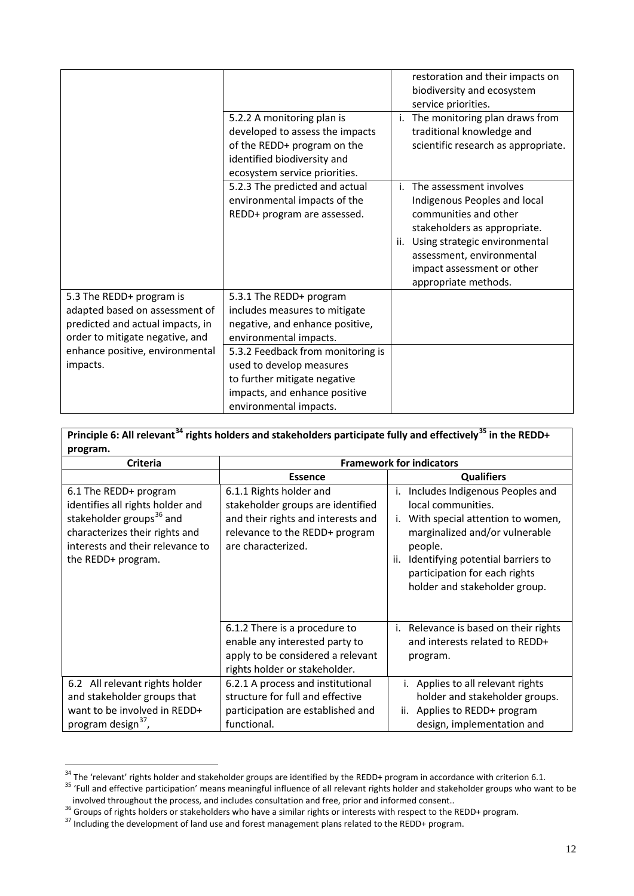|                                                                                                                                                                                  | 5.2.2 A monitoring plan is<br>developed to assess the impacts<br>of the REDD+ program on the<br>identified biodiversity and<br>ecosystem service priorities.                                                                                                                      | restoration and their impacts on<br>biodiversity and ecosystem<br>service priorities.<br>i. The monitoring plan draws from<br>traditional knowledge and<br>scientific research as appropriate.                                              |
|----------------------------------------------------------------------------------------------------------------------------------------------------------------------------------|-----------------------------------------------------------------------------------------------------------------------------------------------------------------------------------------------------------------------------------------------------------------------------------|---------------------------------------------------------------------------------------------------------------------------------------------------------------------------------------------------------------------------------------------|
|                                                                                                                                                                                  | 5.2.3 The predicted and actual<br>environmental impacts of the<br>REDD+ program are assessed.                                                                                                                                                                                     | i. The assessment involves<br>Indigenous Peoples and local<br>communities and other<br>stakeholders as appropriate.<br>ii. Using strategic environmental<br>assessment, environmental<br>impact assessment or other<br>appropriate methods. |
| 5.3 The REDD+ program is<br>adapted based on assessment of<br>predicted and actual impacts, in<br>order to mitigate negative, and<br>enhance positive, environmental<br>impacts. | 5.3.1 The REDD+ program<br>includes measures to mitigate<br>negative, and enhance positive,<br>environmental impacts.<br>5.3.2 Feedback from monitoring is<br>used to develop measures<br>to further mitigate negative<br>impacts, and enhance positive<br>environmental impacts. |                                                                                                                                                                                                                                             |

| Principle 6: All relevant <sup>34</sup> rights holders and stakeholders participate fully and effectively <sup>35</sup> in the REDD+                                                          |                                                                                                                                                            |                                                                                                                                                                                                                                                           |  |
|-----------------------------------------------------------------------------------------------------------------------------------------------------------------------------------------------|------------------------------------------------------------------------------------------------------------------------------------------------------------|-----------------------------------------------------------------------------------------------------------------------------------------------------------------------------------------------------------------------------------------------------------|--|
| program.                                                                                                                                                                                      |                                                                                                                                                            |                                                                                                                                                                                                                                                           |  |
| <b>Criteria</b>                                                                                                                                                                               | <b>Framework for indicators</b>                                                                                                                            |                                                                                                                                                                                                                                                           |  |
|                                                                                                                                                                                               | <b>Essence</b>                                                                                                                                             | <b>Qualifiers</b>                                                                                                                                                                                                                                         |  |
| 6.1 The REDD+ program<br>identifies all rights holder and<br>stakeholder groups <sup>36</sup> and<br>characterizes their rights and<br>interests and their relevance to<br>the REDD+ program. | 6.1.1 Rights holder and<br>stakeholder groups are identified<br>and their rights and interests and<br>relevance to the REDD+ program<br>are characterized. | Includes Indigenous Peoples and<br>i.<br>local communities.<br>With special attention to women,<br>i.<br>marginalized and/or vulnerable<br>people.<br>Identifying potential barriers to<br>participation for each rights<br>holder and stakeholder group. |  |
|                                                                                                                                                                                               | 6.1.2 There is a procedure to<br>enable any interested party to<br>apply to be considered a relevant<br>rights holder or stakeholder.                      | i. Relevance is based on their rights<br>and interests related to REDD+<br>program.                                                                                                                                                                       |  |
| 6.2 All relevant rights holder                                                                                                                                                                | 6.2.1 A process and institutional                                                                                                                          | Applies to all relevant rights<br>i.                                                                                                                                                                                                                      |  |
| and stakeholder groups that                                                                                                                                                                   | structure for full and effective                                                                                                                           | holder and stakeholder groups.                                                                                                                                                                                                                            |  |
| want to be involved in REDD+                                                                                                                                                                  | participation are established and                                                                                                                          | Applies to REDD+ program<br>ii.                                                                                                                                                                                                                           |  |
| program design <sup>37</sup>                                                                                                                                                                  | functional.                                                                                                                                                | design, implementation and                                                                                                                                                                                                                                |  |

٦

<span id="page-11-0"></span> $34$  The 'relevant' rights holder and stakeholder groups are identified by the REDD+ program in accordance with criterion 6.1.<br>
<sup>35</sup> 'Full and effective participation' means meaningful influence of all relevant rights hol Full and enective participation. Theatis meaningium inhuence of all relevant rights noider and stakeholder groups w<br>involved throughout the process, and includes consultation and free, prior and informed consent..<br><sup>36</sup> Gro

<span id="page-11-1"></span>

<span id="page-11-2"></span>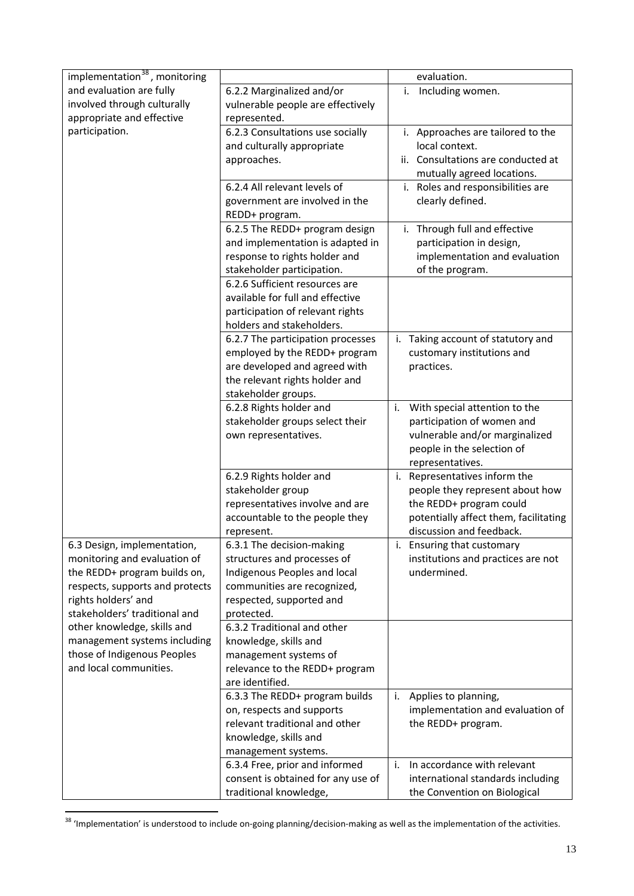| implementation <sup>38</sup> , monitoring            |                                        | evaluation.                           |
|------------------------------------------------------|----------------------------------------|---------------------------------------|
| and evaluation are fully                             | 6.2.2 Marginalized and/or              | Including women.<br>i.                |
| involved through culturally                          | vulnerable people are effectively      |                                       |
| appropriate and effective                            | represented.                           |                                       |
| participation.                                       | 6.2.3 Consultations use socially       | i. Approaches are tailored to the     |
|                                                      | and culturally appropriate             | local context.                        |
|                                                      | approaches.                            | Consultations are conducted at<br>ii. |
|                                                      |                                        | mutually agreed locations.            |
|                                                      | 6.2.4 All relevant levels of           | i. Roles and responsibilities are     |
|                                                      | government are involved in the         | clearly defined.                      |
|                                                      | REDD+ program.                         |                                       |
|                                                      | 6.2.5 The REDD+ program design         | Through full and effective<br>i.      |
|                                                      | and implementation is adapted in       | participation in design,              |
|                                                      | response to rights holder and          | implementation and evaluation         |
|                                                      | stakeholder participation.             | of the program.                       |
|                                                      | 6.2.6 Sufficient resources are         |                                       |
|                                                      | available for full and effective       |                                       |
|                                                      | participation of relevant rights       |                                       |
|                                                      | holders and stakeholders.              |                                       |
|                                                      | 6.2.7 The participation processes      | Taking account of statutory and<br>i. |
|                                                      | employed by the REDD+ program          | customary institutions and            |
|                                                      | are developed and agreed with          | practices.                            |
|                                                      | the relevant rights holder and         |                                       |
|                                                      | stakeholder groups.                    |                                       |
|                                                      | 6.2.8 Rights holder and                | With special attention to the<br>i.   |
|                                                      | stakeholder groups select their        | participation of women and            |
|                                                      | own representatives.                   | vulnerable and/or marginalized        |
|                                                      |                                        | people in the selection of            |
|                                                      |                                        | representatives.                      |
|                                                      | 6.2.9 Rights holder and                | Representatives inform the<br>i.      |
|                                                      | stakeholder group                      | people they represent about how       |
|                                                      | representatives involve and are        | the REDD+ program could               |
|                                                      | accountable to the people they         | potentially affect them, facilitating |
|                                                      | represent.                             | discussion and feedback.              |
| 6.3 Design, implementation,                          | 6.3.1 The decision-making              | i. Ensuring that customary            |
| monitoring and evaluation of                         | structures and processes of            | institutions and practices are not    |
| the REDD+ program builds on,                         | Indigenous Peoples and local           | undermined.                           |
| respects, supports and protects                      | communities are recognized,            |                                       |
| rights holders' and<br>stakeholders' traditional and | respected, supported and<br>protected. |                                       |
| other knowledge, skills and                          | 6.3.2 Traditional and other            |                                       |
| management systems including                         | knowledge, skills and                  |                                       |
| those of Indigenous Peoples                          | management systems of                  |                                       |
| and local communities.                               | relevance to the REDD+ program         |                                       |
|                                                      | are identified.                        |                                       |
|                                                      | 6.3.3 The REDD+ program builds         | Applies to planning,<br>i.            |
|                                                      | on, respects and supports              | implementation and evaluation of      |
|                                                      | relevant traditional and other         | the REDD+ program.                    |
|                                                      | knowledge, skills and                  |                                       |
|                                                      | management systems.                    |                                       |
|                                                      | 6.3.4 Free, prior and informed         | In accordance with relevant<br>i.     |
|                                                      | consent is obtained for any use of     | international standards including     |
|                                                      | traditional knowledge,                 | the Convention on Biological          |
|                                                      |                                        |                                       |

<span id="page-12-0"></span><sup>38 &#</sup>x27;Implementation' is understood to include on-going planning/decision-making as well as the implementation of the activities.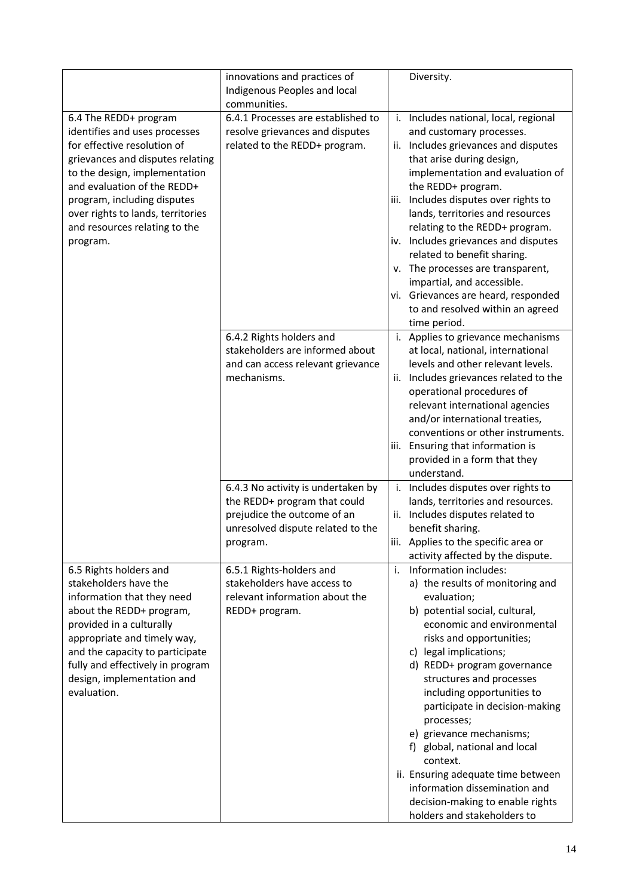|                                                                                                                                                                                                                                                                                                            | innovations and practices of<br>Indigenous Peoples and local<br>communities.                                                                       | Diversity.                                                                                                                                                                                                                                                                                                                                                                                                                                                                                                                                                       |
|------------------------------------------------------------------------------------------------------------------------------------------------------------------------------------------------------------------------------------------------------------------------------------------------------------|----------------------------------------------------------------------------------------------------------------------------------------------------|------------------------------------------------------------------------------------------------------------------------------------------------------------------------------------------------------------------------------------------------------------------------------------------------------------------------------------------------------------------------------------------------------------------------------------------------------------------------------------------------------------------------------------------------------------------|
| 6.4 The REDD+ program<br>identifies and uses processes<br>for effective resolution of<br>grievances and disputes relating<br>to the design, implementation<br>and evaluation of the REDD+<br>program, including disputes<br>over rights to lands, territories<br>and resources relating to the<br>program. | 6.4.1 Processes are established to<br>resolve grievances and disputes<br>related to the REDD+ program.                                             | Includes national, local, regional<br>i.<br>and customary processes.<br>ii. Includes grievances and disputes<br>that arise during design,<br>implementation and evaluation of<br>the REDD+ program.<br>iii. Includes disputes over rights to<br>lands, territories and resources<br>relating to the REDD+ program.<br>iv. Includes grievances and disputes<br>related to benefit sharing.<br>v. The processes are transparent,<br>impartial, and accessible.<br>vi. Grievances are heard, responded<br>to and resolved within an agreed<br>time period.          |
|                                                                                                                                                                                                                                                                                                            | 6.4.2 Rights holders and<br>stakeholders are informed about<br>and can access relevant grievance<br>mechanisms.                                    | i. Applies to grievance mechanisms<br>at local, national, international<br>levels and other relevant levels.<br>ii. Includes grievances related to the<br>operational procedures of<br>relevant international agencies<br>and/or international treaties,<br>conventions or other instruments.<br>iii. Ensuring that information is<br>provided in a form that they<br>understand.                                                                                                                                                                                |
|                                                                                                                                                                                                                                                                                                            | 6.4.3 No activity is undertaken by<br>the REDD+ program that could<br>prejudice the outcome of an<br>unresolved dispute related to the<br>program. | i. Includes disputes over rights to<br>lands, territories and resources.<br>ii. Includes disputes related to<br>benefit sharing.<br>iii.<br>Applies to the specific area or<br>activity affected by the dispute.                                                                                                                                                                                                                                                                                                                                                 |
| 6.5 Rights holders and<br>stakeholders have the<br>information that they need<br>about the REDD+ program,<br>provided in a culturally<br>appropriate and timely way,<br>and the capacity to participate<br>fully and effectively in program<br>design, implementation and<br>evaluation.                   | 6.5.1 Rights-holders and<br>stakeholders have access to<br>relevant information about the<br>REDD+ program.                                        | i.<br>Information includes:<br>a) the results of monitoring and<br>evaluation;<br>b) potential social, cultural,<br>economic and environmental<br>risks and opportunities;<br>c) legal implications;<br>d) REDD+ program governance<br>structures and processes<br>including opportunities to<br>participate in decision-making<br>processes;<br>e) grievance mechanisms;<br>f) global, national and local<br>context.<br>ii. Ensuring adequate time between<br>information dissemination and<br>decision-making to enable rights<br>holders and stakeholders to |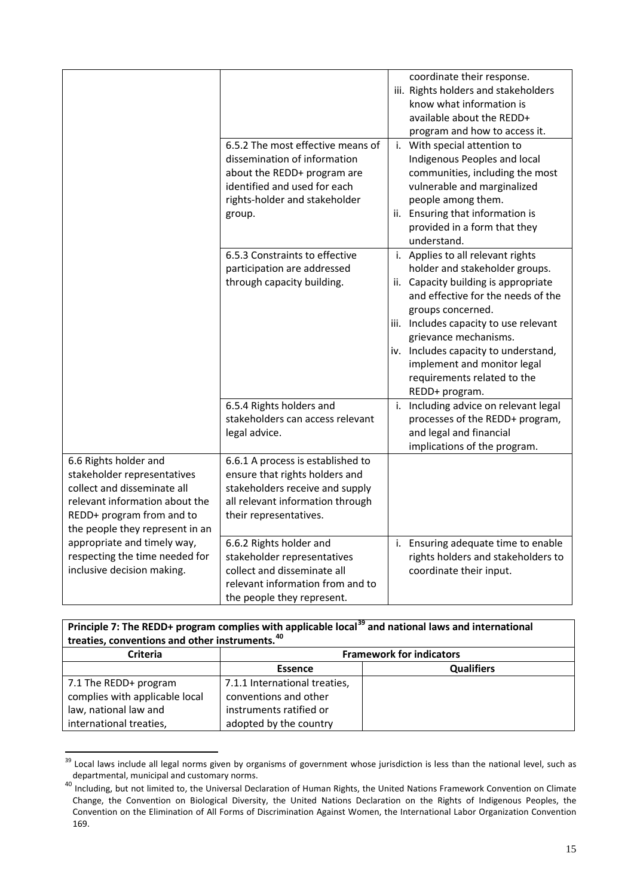|                                                                                                                                                                                       | 6.5.2 The most effective means of<br>dissemination of information<br>about the REDD+ program are<br>identified and used for each<br>rights-holder and stakeholder<br>group. | coordinate their response.<br>iii. Rights holders and stakeholders<br>know what information is<br>available about the REDD+<br>program and how to access it.<br>i. With special attention to<br>Indigenous Peoples and local<br>communities, including the most<br>vulnerable and marginalized<br>people among them.<br>ii. Ensuring that information is<br>provided in a form that they |
|---------------------------------------------------------------------------------------------------------------------------------------------------------------------------------------|-----------------------------------------------------------------------------------------------------------------------------------------------------------------------------|------------------------------------------------------------------------------------------------------------------------------------------------------------------------------------------------------------------------------------------------------------------------------------------------------------------------------------------------------------------------------------------|
|                                                                                                                                                                                       | 6.5.3 Constraints to effective<br>participation are addressed<br>through capacity building.                                                                                 | understand.<br>i. Applies to all relevant rights<br>holder and stakeholder groups.<br>ii. Capacity building is appropriate<br>and effective for the needs of the<br>groups concerned.<br>iii. Includes capacity to use relevant<br>grievance mechanisms.<br>iv. Includes capacity to understand,<br>implement and monitor legal<br>requirements related to the<br>REDD+ program.         |
|                                                                                                                                                                                       | 6.5.4 Rights holders and<br>stakeholders can access relevant<br>legal advice.                                                                                               | i. Including advice on relevant legal<br>processes of the REDD+ program,<br>and legal and financial<br>implications of the program.                                                                                                                                                                                                                                                      |
| 6.6 Rights holder and<br>stakeholder representatives<br>collect and disseminate all<br>relevant information about the<br>REDD+ program from and to<br>the people they represent in an | 6.6.1 A process is established to<br>ensure that rights holders and<br>stakeholders receive and supply<br>all relevant information through<br>their representatives.        |                                                                                                                                                                                                                                                                                                                                                                                          |
| appropriate and timely way,<br>respecting the time needed for<br>inclusive decision making.                                                                                           | 6.6.2 Rights holder and<br>stakeholder representatives<br>collect and disseminate all<br>relevant information from and to<br>the people they represent.                     | i. Ensuring adequate time to enable<br>rights holders and stakeholders to<br>coordinate their input.                                                                                                                                                                                                                                                                                     |

## **Principle 7: The REDD+ program complies with applicable local[39](#page-12-0) and national laws and international treaties, conventions and other instruments.[40](#page-14-0)**

| <b>Criteria</b>                | <b>Framework for indicators</b> |                   |
|--------------------------------|---------------------------------|-------------------|
|                                | <b>Essence</b>                  | <b>Qualifiers</b> |
| 7.1 The REDD+ program          | 7.1.1 International treaties,   |                   |
| complies with applicable local | conventions and other           |                   |
| law, national law and          | instruments ratified or         |                   |
| international treaties,        | adopted by the country          |                   |

<sup>&</sup>lt;sup>39</sup> Local laws include all legal norms given by organisms of government whose jurisdiction is less than the national level, such as departmental, municipal and customary norms.

<span id="page-14-0"></span><sup>40</sup> Including, but not limited to, the Universal Declaration of Human Rights, the United Nations Framework Convention on Climate Change, the Convention on Biological Diversity, the United Nations Declaration on the Rights of Indigenous Peoples, the Convention on the Elimination of All Forms of Discrimination Against Women, the International Labor Organization Convention 169.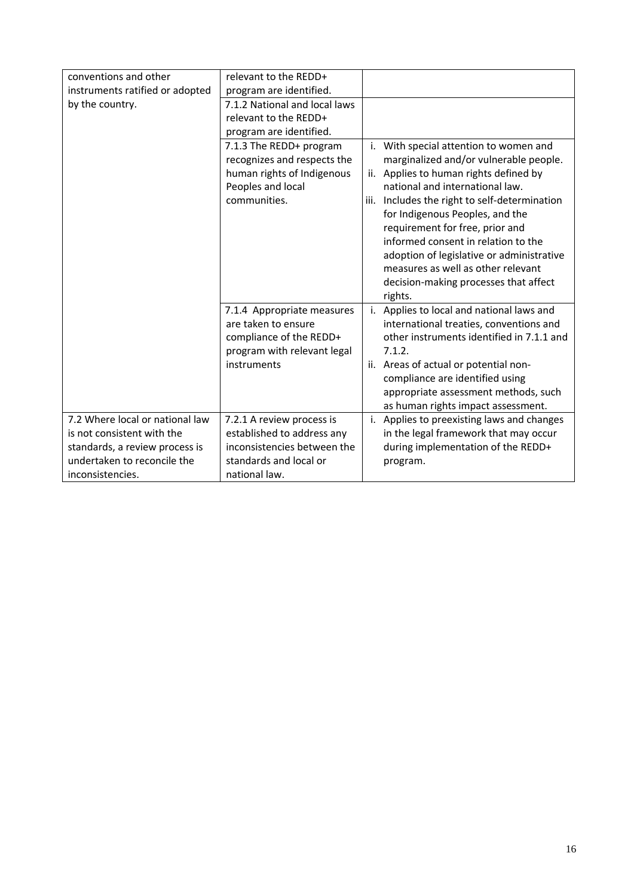| conventions and other           | relevant to the REDD+         |     |                                               |
|---------------------------------|-------------------------------|-----|-----------------------------------------------|
| instruments ratified or adopted | program are identified.       |     |                                               |
| by the country.                 | 7.1.2 National and local laws |     |                                               |
|                                 | relevant to the REDD+         |     |                                               |
|                                 | program are identified.       |     |                                               |
|                                 | 7.1.3 The REDD+ program       | i.  | With special attention to women and           |
|                                 | recognizes and respects the   |     | marginalized and/or vulnerable people.        |
|                                 | human rights of Indigenous    | ii. | Applies to human rights defined by            |
|                                 | Peoples and local             |     | national and international law.               |
|                                 | communities.                  |     | iii. Includes the right to self-determination |
|                                 |                               |     | for Indigenous Peoples, and the               |
|                                 |                               |     | requirement for free, prior and               |
|                                 |                               |     | informed consent in relation to the           |
|                                 |                               |     | adoption of legislative or administrative     |
|                                 |                               |     | measures as well as other relevant            |
|                                 |                               |     | decision-making processes that affect         |
|                                 |                               |     | rights.                                       |
|                                 | 7.1.4 Appropriate measures    | i.  | Applies to local and national laws and        |
|                                 | are taken to ensure           |     | international treaties, conventions and       |
|                                 | compliance of the REDD+       |     | other instruments identified in 7.1.1 and     |
|                                 | program with relevant legal   |     | 7.1.2.                                        |
|                                 | instruments                   |     | ii. Areas of actual or potential non-         |
|                                 |                               |     | compliance are identified using               |
|                                 |                               |     | appropriate assessment methods, such          |
|                                 |                               |     | as human rights impact assessment.            |
| 7.2 Where local or national law | 7.2.1 A review process is     | i.  | Applies to preexisting laws and changes       |
| is not consistent with the      | established to address any    |     | in the legal framework that may occur         |
| standards, a review process is  | inconsistencies between the   |     | during implementation of the REDD+            |
| undertaken to reconcile the     | standards and local or        |     | program.                                      |
| inconsistencies.                | national law.                 |     |                                               |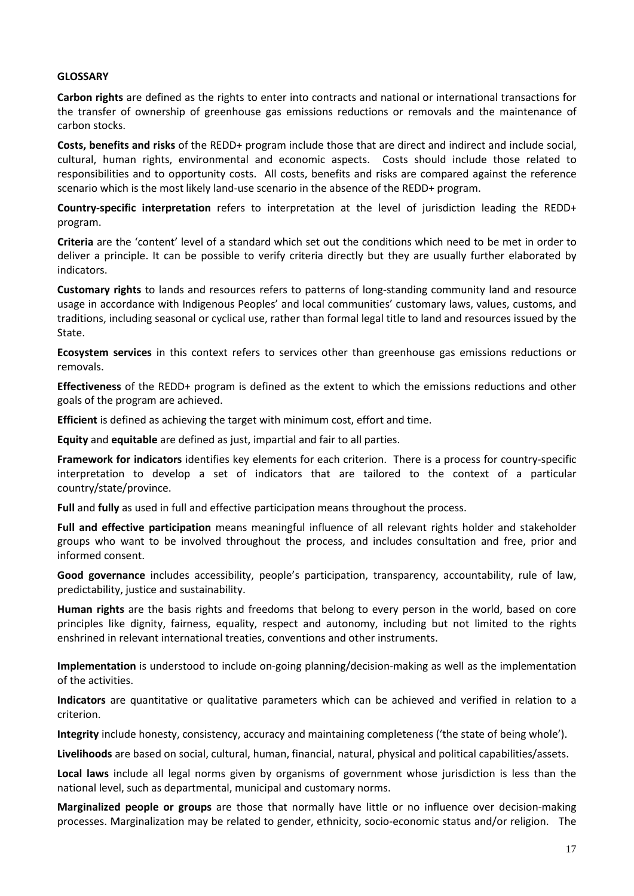#### **GLOSSARY**

**Carbon rights** are defined as the rights to enter into contracts and national or international transactions for the transfer of ownership of greenhouse gas emissions reductions or removals and the maintenance of carbon stocks.

**Costs, benefits and risks** of the REDD+ program include those that are direct and indirect and include social, cultural, human rights, environmental and economic aspects. Costs should include those related to responsibilities and to opportunity costs. All costs, benefits and risks are compared against the reference scenario which is the most likely land-use scenario in the absence of the REDD+ program.

**Country-specific interpretation** refers to interpretation at the level of jurisdiction leading the REDD+ program.

**Criteria** are the 'content' level of a standard which set out the conditions which need to be met in order to deliver a principle. It can be possible to verify criteria directly but they are usually further elaborated by indicators.

**Customary rights** to lands and resources refers to patterns of long-standing community land and resource usage in accordance with Indigenous Peoples' and local communities' customary laws, values, customs, and traditions, including seasonal or cyclical use, rather than formal legal title to land and resources issued by the State.

**Ecosystem services** in this context refers to services other than greenhouse gas emissions reductions or removals.

**Effectiveness** of the REDD+ program is defined as the extent to which the emissions reductions and other goals of the program are achieved.

**Efficient** is defined as achieving the target with minimum cost, effort and time.

**Equity** and **equitable** are defined as just, impartial and fair to all parties.

**Framework for indicators** identifies key elements for each criterion. There is a process for country-specific interpretation to develop a set of indicators that are tailored to the context of a particular country/state/province.

**Full** and **fully** as used in full and effective participation means throughout the process.

**Full and effective participation** means meaningful influence of all relevant rights holder and stakeholder groups who want to be involved throughout the process, and includes consultation and free, prior and informed consent.

**Good governance** includes accessibility, people's participation, transparency, accountability, rule of law, predictability, justice and sustainability.

**Human rights** are the basis rights and freedoms that belong to every person in the world, based on core principles like dignity, fairness, equality, respect and autonomy, including but not limited to the rights enshrined in relevant international treaties, conventions and other instruments.

**Implementation** is understood to include on-going planning/decision-making as well as the implementation of the activities.

**Indicators** are quantitative or qualitative parameters which can be achieved and verified in relation to a criterion.

**Integrity** include honesty, consistency, accuracy and maintaining completeness ('the state of being whole').

**Livelihoods** are based on social, cultural, human, financial, natural, physical and political capabilities/assets.

**Local laws** include all legal norms given by organisms of government whose jurisdiction is less than the national level, such as departmental, municipal and customary norms.

**Marginalized people or groups** are those that normally have little or no influence over decision-making processes. Marginalization may be related to gender, ethnicity, socio-economic status and/or religion. The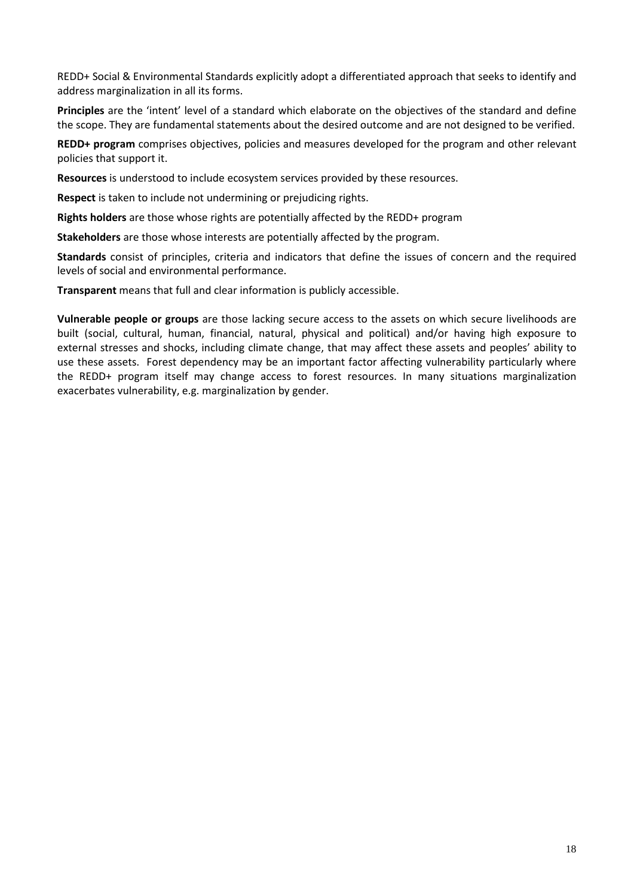REDD+ Social & Environmental Standards explicitly adopt a differentiated approach that seeks to identify and address marginalization in all its forms.

**Principles** are the 'intent' level of a standard which elaborate on the objectives of the standard and define the scope. They are fundamental statements about the desired outcome and are not designed to be verified.

**REDD+ program** comprises objectives, policies and measures developed for the program and other relevant policies that support it.

**Resources** is understood to include ecosystem services provided by these resources.

**Respect** is taken to include not undermining or prejudicing rights.

**Rights holders** are those whose rights are potentially affected by the REDD+ program

**Stakeholders** are those whose interests are potentially affected by the program.

**Standards** consist of principles, criteria and indicators that define the issues of concern and the required levels of social and environmental performance.

**Transparent** means that full and clear information is publicly accessible.

**Vulnerable people or groups** are those lacking secure access to the assets on which secure livelihoods are built (social, cultural, human, financial, natural, physical and political) and/or having high exposure to external stresses and shocks, including climate change, that may affect these assets and peoples' ability to use these assets. Forest dependency may be an important factor affecting vulnerability particularly where the REDD+ program itself may change access to forest resources. In many situations marginalization exacerbates vulnerability, e.g. marginalization by gender.